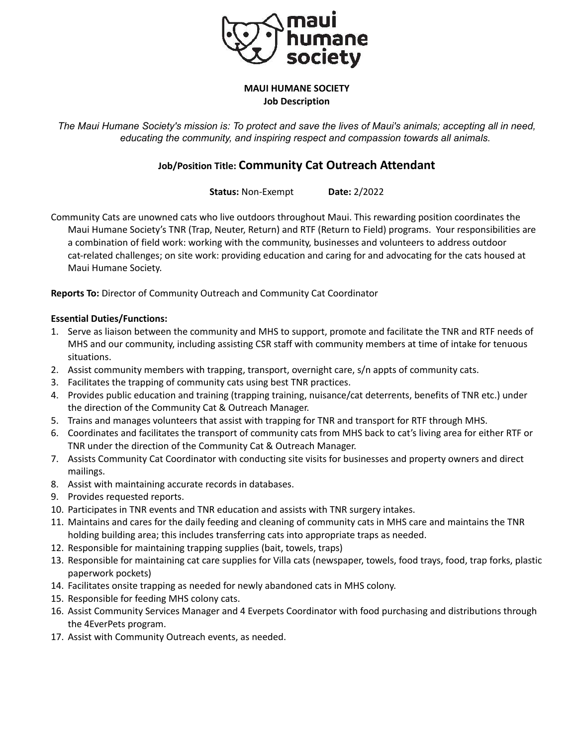

#### **MAUI HUMANE SOCIETY Job Description**

*The Maui Humane Society's mission is: To protect and save the lives of Maui's animals; accepting all in need, educating the community, and inspiring respect and compassion towards all animals.*

# **Job/Position Title: Community Cat Outreach Attendant**

**Status:** Non-Exempt **Date:** 2/2022

Community Cats are unowned cats who live outdoors throughout Maui. This rewarding position coordinates the Maui Humane Society's TNR (Trap, Neuter, Return) and RTF (Return to Field) programs. Your responsibilities are a combination of field work: working with the community, businesses and volunteers to address outdoor cat-related challenges; on site work: providing education and caring for and advocating for the cats housed at Maui Humane Society.

**Reports To:** Director of Community Outreach and Community Cat Coordinator

#### **Essential Duties/Functions:**

- 1. Serve as liaison between the community and MHS to support, promote and facilitate the TNR and RTF needs of MHS and our community, including assisting CSR staff with community members at time of intake for tenuous situations.
- 2. Assist community members with trapping, transport, overnight care, s/n appts of community cats.
- 3. Facilitates the trapping of community cats using best TNR practices.
- 4. Provides public education and training (trapping training, nuisance/cat deterrents, benefits of TNR etc.) under the direction of the Community Cat & Outreach Manager.
- 5. Trains and manages volunteers that assist with trapping for TNR and transport for RTF through MHS.
- 6. Coordinates and facilitates the transport of community cats from MHS back to cat's living area for either RTF or TNR under the direction of the Community Cat & Outreach Manager.
- 7. Assists Community Cat Coordinator with conducting site visits for businesses and property owners and direct mailings.
- 8. Assist with maintaining accurate records in databases.
- 9. Provides requested reports.
- 10. Participates in TNR events and TNR education and assists with TNR surgery intakes.
- 11. Maintains and cares for the daily feeding and cleaning of community cats in MHS care and maintains the TNR holding building area; this includes transferring cats into appropriate traps as needed.
- 12. Responsible for maintaining trapping supplies (bait, towels, traps)
- 13. Responsible for maintaining cat care supplies for Villa cats (newspaper, towels, food trays, food, trap forks, plastic paperwork pockets)
- 14. Facilitates onsite trapping as needed for newly abandoned cats in MHS colony.
- 15. Responsible for feeding MHS colony cats.
- 16. Assist Community Services Manager and 4 Everpets Coordinator with food purchasing and distributions through the 4EverPets program.
- 17. Assist with Community Outreach events, as needed.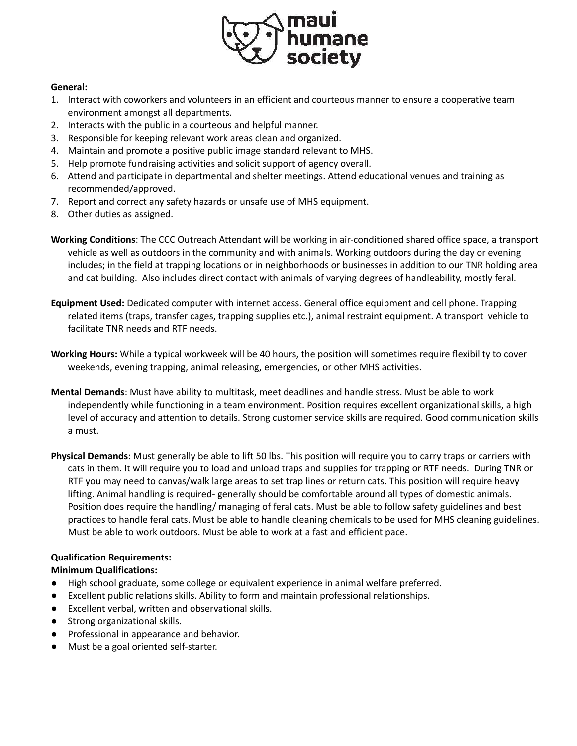

#### **General:**

- 1. Interact with coworkers and volunteers in an efficient and courteous manner to ensure a cooperative team environment amongst all departments.
- 2. Interacts with the public in a courteous and helpful manner.
- 3. Responsible for keeping relevant work areas clean and organized.
- 4. Maintain and promote a positive public image standard relevant to MHS.
- 5. Help promote fundraising activities and solicit support of agency overall.
- 6. Attend and participate in departmental and shelter meetings. Attend educational venues and training as recommended/approved.
- 7. Report and correct any safety hazards or unsafe use of MHS equipment.
- 8. Other duties as assigned.
- **Working Conditions**: The CCC Outreach Attendant will be working in air-conditioned shared office space, a transport vehicle as well as outdoors in the community and with animals. Working outdoors during the day or evening includes; in the field at trapping locations or in neighborhoods or businesses in addition to our TNR holding area and cat building. Also includes direct contact with animals of varying degrees of handleability, mostly feral.
- **Equipment Used:** Dedicated computer with internet access. General office equipment and cell phone. Trapping related items (traps, transfer cages, trapping supplies etc.), animal restraint equipment. A transport vehicle to facilitate TNR needs and RTF needs.
- **Working Hours:** While a typical workweek will be 40 hours, the position will sometimes require flexibility to cover weekends, evening trapping, animal releasing, emergencies, or other MHS activities.
- **Mental Demands**: Must have ability to multitask, meet deadlines and handle stress. Must be able to work independently while functioning in a team environment. Position requires excellent organizational skills, a high level of accuracy and attention to details. Strong customer service skills are required. Good communication skills a must.
- **Physical Demands**: Must generally be able to lift 50 lbs. This position will require you to carry traps or carriers with cats in them. It will require you to load and unload traps and supplies for trapping or RTF needs. During TNR or RTF you may need to canvas/walk large areas to set trap lines or return cats. This position will require heavy lifting. Animal handling is required- generally should be comfortable around all types of domestic animals. Position does require the handling/ managing of feral cats. Must be able to follow safety guidelines and best practices to handle feral cats. Must be able to handle cleaning chemicals to be used for MHS cleaning guidelines. Must be able to work outdoors. Must be able to work at a fast and efficient pace.

## **Qualification Requirements:**

#### **Minimum Qualifications:**

- High school graduate, some college or equivalent experience in animal welfare preferred.
- Excellent public relations skills. Ability to form and maintain professional relationships.
- Excellent verbal, written and observational skills.
- Strong organizational skills.
- Professional in appearance and behavior.
- Must be a goal oriented self-starter.